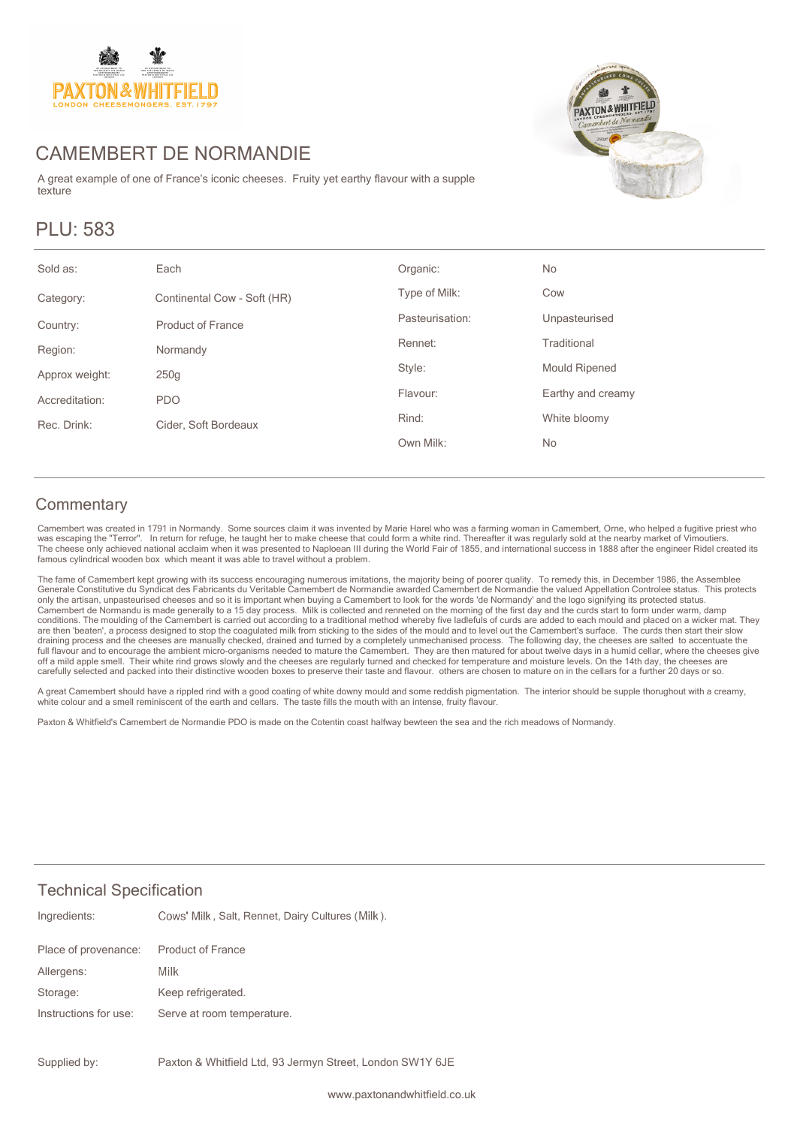

## CAMEMBERT DE NORMANDIE

A great example of one of France's iconic cheeses. Fruity yet earthy flavour with a supple texture

# PLU: 583



| Sold as:       | Each                        | Organic:        | No                   |
|----------------|-----------------------------|-----------------|----------------------|
| Category:      | Continental Cow - Soft (HR) | Type of Milk:   | Cow                  |
| Country:       | <b>Product of France</b>    | Pasteurisation: | Unpasteurised        |
| Region:        | Normandy                    | Rennet:         | Traditional          |
| Approx weight: | 250 <sub>g</sub>            | Style:          | <b>Mould Ripened</b> |
| Accreditation: | <b>PDO</b>                  | Flavour:        | Earthy and creamy    |
| Rec. Drink:    | Cider, Soft Bordeaux        | Rind:           | White bloomy         |
|                |                             | Own Milk:       | No                   |
|                |                             |                 |                      |

#### **Commentary**

Camembert was created in 1791 in Normandy. Some sources claim it was invented by Marie Harel who was a farming woman in Camembert, Orne, who helped a fugitive priest who<br>was escaping the "Terror". In return for refuge, he The cheese only achieved national acclaim when it was presented to Naploean III during the World Fair of 1855, and international success in 1888 after the engineer Ridel created its famous cylindrical wooden box which meant it was able to travel without a problem.

The fame of Camembert kept growing with its success encouraging numerous imitations, the majority being of poorer quality. To remedy this, in December 1986, the Assemblee<br>Generale Constitutive du Syndicat des Fabricants du only the artisan, unpasteurised cheeses and so it is important when buying a Camembert to look for the words 'de Normandy' and the logo signifying its protected status. Camembert de Normandu is made generally to a 15 day process. Milk is collected and renneted on the morning of the first day and the curds start to form under warm, damp<br>conditions. The moulding of the Camembert is carried are then 'beaten', a process designed to stop the coagulated milk from sticking to the sides of the mould and to level out the Camembert's surface. The curds then start their slow<br>draining process and the cheeses are manua full flavour and to encourage the ambient micro-organisms needed to mature the Camembert. They are then matured for about twelve days in a humid cellar, where the cheeses give<br>off a mild apple smell. Their white rind grows

A great Camembert should have a rippled rind with a good coating of white downy mould and some reddish pigmentation. The interior should be supple thorughout with a creamy, white colour and a smell reminiscent of the earth and cellars. The taste fills the mouth with an intense, fruity flavour.

Paxton & Whitfield's Camembert de Normandie PDO is made on the Cotentin coast halfway bewteen the sea and the rich meadows of Normandy.

#### Technical Specification

| Ingredients:          | Cows' Milk, Salt, Rennet, Dairy Cultures (Milk). |
|-----------------------|--------------------------------------------------|
| Place of provenance:  | <b>Product of France</b>                         |
| Allergens:            | Milk                                             |
| Storage:              | Keep refrigerated.                               |
| Instructions for use: | Serve at room temperature.                       |
|                       |                                                  |

Paxton & Whitfield Ltd, 93 Jermyn Street, London SW1Y 6JE Supplied by: